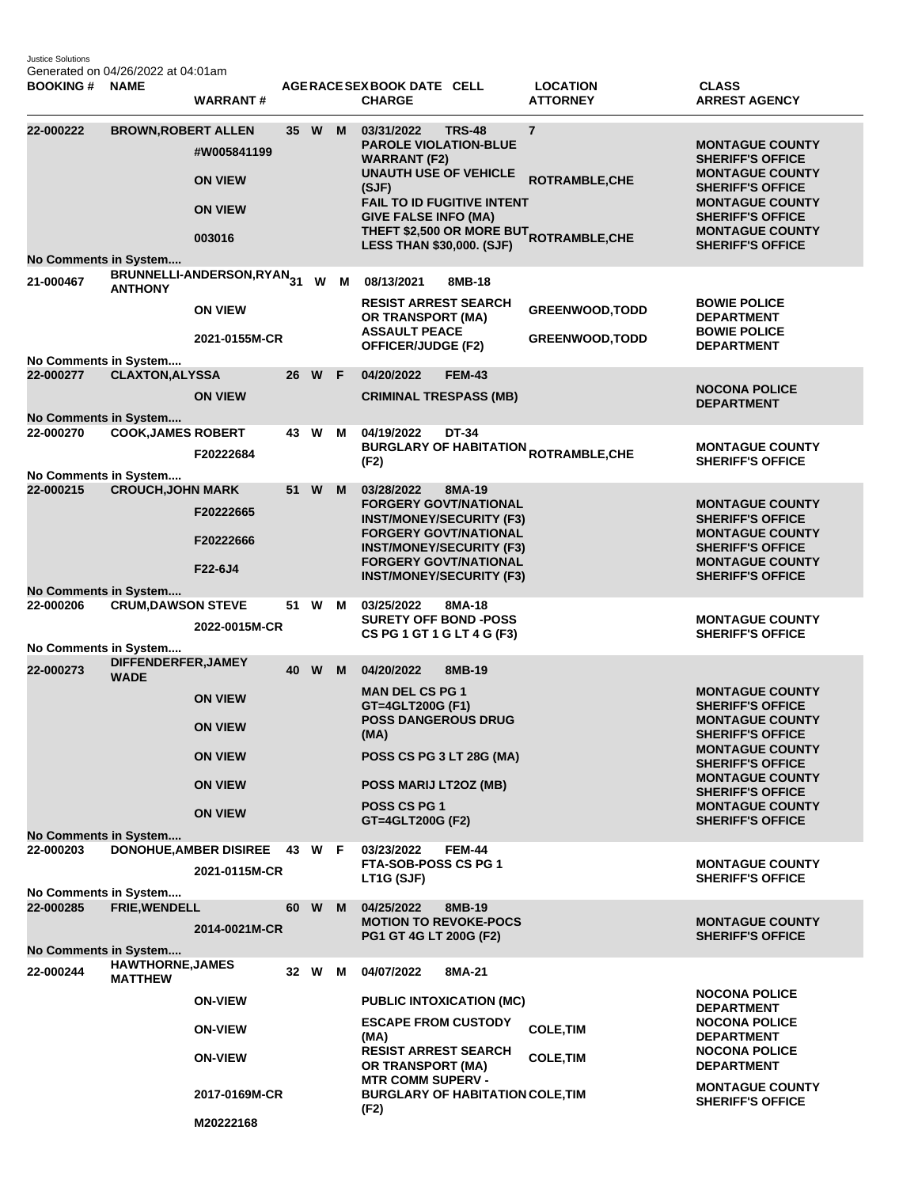Justice Solutions Generated on 04/26/2022 at 04:01am

| <b>BOOKING#</b>                           | <b>NAME</b>                               | <b>WARRANT#</b>                                           |    |        |     | AGERACE SEX BOOK DATE CELL<br><b>CHARGE</b>                                                                                                                                                                        |               | <b>LOCATION</b><br><b>ATTORNEY</b>                                           | <b>CLASS</b><br><b>ARREST AGENCY</b>                                                                                                                                                                             |
|-------------------------------------------|-------------------------------------------|-----------------------------------------------------------|----|--------|-----|--------------------------------------------------------------------------------------------------------------------------------------------------------------------------------------------------------------------|---------------|------------------------------------------------------------------------------|------------------------------------------------------------------------------------------------------------------------------------------------------------------------------------------------------------------|
| 22-000222<br>No Comments in System        | <b>BROWN, ROBERT ALLEN</b>                | #W005841199<br><b>ON VIEW</b><br><b>ON VIEW</b><br>003016 |    | 35 W   | M   | 03/31/2022<br><b>PAROLE VIOLATION-BLUE</b><br><b>WARRANT (F2)</b><br><b>UNAUTH USE OF VEHICLE</b><br>(SJF)<br><b>FAIL TO ID FUGITIVE INTENT</b><br><b>GIVE FALSE INFO (MA)</b><br><b>LESS THAN \$30,000. (SJF)</b> | <b>TRS-48</b> | $\overline{7}$<br>ROTRAMBLE, CHE<br>THEFT \$2,500 OR MORE BUT ROTRAMBLE, CHE | <b>MONTAGUE COUNTY</b><br><b>SHERIFF'S OFFICE</b><br><b>MONTAGUE COUNTY</b><br><b>SHERIFF'S OFFICE</b><br><b>MONTAGUE COUNTY</b><br><b>SHERIFF'S OFFICE</b><br><b>MONTAGUE COUNTY</b><br><b>SHERIFF'S OFFICE</b> |
| 21-000467                                 | <b>ANTHONY</b>                            | BRUNNELLI-ANDERSON, RYAN <sub>31</sub>                    |    |        | W M | 08/13/2021                                                                                                                                                                                                         | 8MB-18        |                                                                              |                                                                                                                                                                                                                  |
|                                           |                                           | <b>ON VIEW</b><br>2021-0155M-CR                           |    |        |     | <b>RESIST ARREST SEARCH</b><br>OR TRANSPORT (MA)<br><b>ASSAULT PEACE</b><br><b>OFFICER/JUDGE (F2)</b>                                                                                                              |               | <b>GREENWOOD, TODD</b><br><b>GREENWOOD, TODD</b>                             | <b>BOWIE POLICE</b><br><b>DEPARTMENT</b><br><b>BOWIE POLICE</b><br><b>DEPARTMENT</b>                                                                                                                             |
| No Comments in System<br>22-000277        | <b>CLAXTON, ALYSSA</b>                    |                                                           |    | 26 W   | - F | 04/20/2022                                                                                                                                                                                                         | <b>FEM-43</b> |                                                                              |                                                                                                                                                                                                                  |
| <b>No Comments in System</b>              |                                           | <b>ON VIEW</b>                                            |    |        |     | <b>CRIMINAL TRESPASS (MB)</b>                                                                                                                                                                                      |               |                                                                              | <b>NOCONA POLICE</b><br><b>DEPARTMENT</b>                                                                                                                                                                        |
| 22-000270                                 | <b>COOK, JAMES ROBERT</b>                 |                                                           |    | 43 W   | м   | 04/19/2022                                                                                                                                                                                                         | DT-34         |                                                                              |                                                                                                                                                                                                                  |
| No Comments in System                     |                                           | F20222684                                                 |    |        |     | (F2)                                                                                                                                                                                                               |               | <b>BURGLARY OF HABITATION <sub>ROTRAMBLE,CHE</sub></b>                       | <b>MONTAGUE COUNTY</b><br><b>SHERIFF'S OFFICE</b>                                                                                                                                                                |
| 22-000215                                 | <b>CROUCH, JOHN MARK</b>                  | F20222665<br>F20222666                                    |    | 51 W   | M   | 03/28/2022<br><b>FORGERY GOVT/NATIONAL</b><br><b>INST/MONEY/SECURITY (F3)</b><br><b>FORGERY GOVT/NATIONAL</b><br><b>INST/MONEY/SECURITY (F3)</b><br><b>FORGERY GOVT/NATIONAL</b>                                   | 8MA-19        |                                                                              | <b>MONTAGUE COUNTY</b><br><b>SHERIFF'S OFFICE</b><br><b>MONTAGUE COUNTY</b><br><b>SHERIFF'S OFFICE</b><br><b>MONTAGUE COUNTY</b>                                                                                 |
|                                           |                                           | F22-6J4                                                   |    |        |     | <b>INST/MONEY/SECURITY (F3)</b>                                                                                                                                                                                    |               |                                                                              | <b>SHERIFF'S OFFICE</b>                                                                                                                                                                                          |
| <b>No Comments in System</b><br>22-000206 | <b>CRUM, DAWSON STEVE</b>                 |                                                           |    | 51 W   | M   | 03/25/2022                                                                                                                                                                                                         | 8MA-18        |                                                                              |                                                                                                                                                                                                                  |
|                                           |                                           | 2022-0015M-CR                                             |    |        |     | <b>SURETY OFF BOND -POSS</b><br>CS PG 1 GT 1 G LT 4 G (F3)                                                                                                                                                         |               |                                                                              | <b>MONTAGUE COUNTY</b><br><b>SHERIFF'S OFFICE</b>                                                                                                                                                                |
| No Comments in System                     | DIFFENDERFER, JAMEY                       |                                                           |    |        |     |                                                                                                                                                                                                                    |               |                                                                              |                                                                                                                                                                                                                  |
| 22-000273                                 | <b>WADE</b>                               | <b>ON VIEW</b><br><b>ON VIEW</b><br><b>ON VIEW</b>        | 40 | W      | M   | 04/20/2022<br><b>MAN DEL CS PG 1</b><br>GT=4GLT200G (F1)<br><b>POSS DANGEROUS DRUG</b><br>(MA)<br><b>POSS CS PG 3 LT 28G (MA)</b>                                                                                  | 8MB-19        |                                                                              | <b>MONTAGUE COUNTY</b><br><b>SHERIFF'S OFFICE</b><br><b>MONTAGUE COUNTY</b><br><b>SHERIFF'S OFFICE</b><br><b>MONTAGUE COUNTY</b><br><b>SHERIFF'S OFFICE</b>                                                      |
|                                           |                                           | <b>ON VIEW</b>                                            |    |        |     | POSS MARIJ LT2OZ (MB)                                                                                                                                                                                              |               |                                                                              | <b>MONTAGUE COUNTY</b><br><b>SHERIFF'S OFFICE</b>                                                                                                                                                                |
|                                           |                                           | <b>ON VIEW</b>                                            |    |        |     | POSS CS PG 1                                                                                                                                                                                                       |               |                                                                              | <b>MONTAGUE COUNTY</b>                                                                                                                                                                                           |
| No Comments in System                     |                                           |                                                           |    |        |     | GT=4GLT200G (F2)                                                                                                                                                                                                   |               |                                                                              | <b>SHERIFF'S OFFICE</b>                                                                                                                                                                                          |
| 22-000203                                 |                                           | <b>DONOHUE, AMBER DISIREE</b><br>2021-0115M-CR            |    | 43 W F |     | 03/23/2022<br><b>FTA-SOB-POSS CS PG 1</b><br>LT1G (SJF)                                                                                                                                                            | <b>FEM-44</b> |                                                                              | <b>MONTAGUE COUNTY</b><br><b>SHERIFF'S OFFICE</b>                                                                                                                                                                |
| No Comments in System<br>22-000285        | <b>FRIE, WENDELL</b>                      | 2014-0021M-CR                                             |    | 60 W   | M   | 04/25/2022<br><b>MOTION TO REVOKE-POCS</b><br>PG1 GT 4G LT 200G (F2)                                                                                                                                               | 8MB-19        |                                                                              | <b>MONTAGUE COUNTY</b><br><b>SHERIFF'S OFFICE</b>                                                                                                                                                                |
| No Comments in System                     |                                           |                                                           |    |        |     |                                                                                                                                                                                                                    |               |                                                                              |                                                                                                                                                                                                                  |
| 22-000244                                 | <b>HAWTHORNE, JAMES</b><br><b>MATTHEW</b> |                                                           |    | 32 W   | м   | 04/07/2022                                                                                                                                                                                                         | 8MA-21        |                                                                              | <b>NOCONA POLICE</b>                                                                                                                                                                                             |
|                                           |                                           | <b>ON-VIEW</b>                                            |    |        |     | <b>PUBLIC INTOXICATION (MC)</b>                                                                                                                                                                                    |               |                                                                              | <b>DEPARTMENT</b>                                                                                                                                                                                                |
|                                           |                                           | <b>ON-VIEW</b>                                            |    |        |     | <b>ESCAPE FROM CUSTODY</b><br>(MA)                                                                                                                                                                                 |               | <b>COLE, TIM</b>                                                             | <b>NOCONA POLICE</b><br><b>DEPARTMENT</b>                                                                                                                                                                        |
|                                           |                                           | <b>ON-VIEW</b>                                            |    |        |     | <b>RESIST ARREST SEARCH</b><br>OR TRANSPORT (MA)<br><b>MTR COMM SUPERV -</b>                                                                                                                                       |               | <b>COLE, TIM</b>                                                             | <b>NOCONA POLICE</b><br><b>DEPARTMENT</b>                                                                                                                                                                        |
|                                           |                                           | 2017-0169M-CR                                             |    |        |     | <b>BURGLARY OF HABITATION COLE, TIM</b>                                                                                                                                                                            |               |                                                                              | <b>MONTAGUE COUNTY</b><br><b>SHERIFF'S OFFICE</b>                                                                                                                                                                |
|                                           |                                           | M20222168                                                 |    |        |     | (F2)                                                                                                                                                                                                               |               |                                                                              |                                                                                                                                                                                                                  |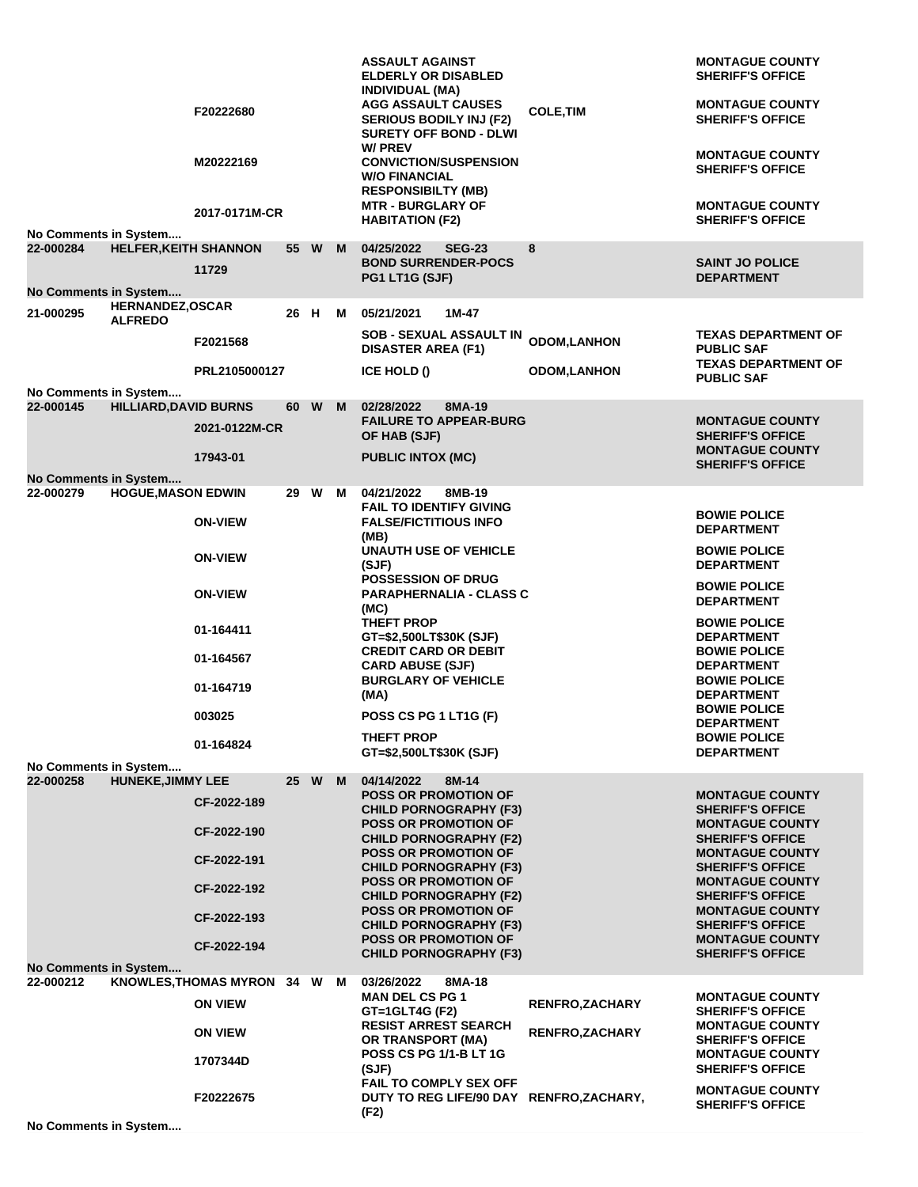|                              |                                           | F20222680                    |      |        |   | <b>ASSAULT AGAINST</b><br><b>ELDERLY OR DISABLED</b><br><b>INDIVIDUAL (MA)</b><br><b>AGG ASSAULT CAUSES</b><br><b>SERIOUS BODILY INJ (F2)</b><br><b>SURETY OFF BOND - DLWI</b><br>W/ PREV | <b>COLE, TIM</b>       | <b>MONTAGUE COUNTY</b><br><b>SHERIFF'S OFFICE</b><br><b>MONTAGUE COUNTY</b><br><b>SHERIFF'S OFFICE</b><br><b>MONTAGUE COUNTY</b> |
|------------------------------|-------------------------------------------|------------------------------|------|--------|---|-------------------------------------------------------------------------------------------------------------------------------------------------------------------------------------------|------------------------|----------------------------------------------------------------------------------------------------------------------------------|
|                              |                                           | M20222169<br>2017-0171M-CR   |      |        |   | <b>CONVICTION/SUSPENSION</b><br><b>W/O FINANCIAL</b><br><b>RESPONSIBILTY (MB)</b><br><b>MTR - BURGLARY OF</b><br><b>HABITATION (F2)</b>                                                   |                        | <b>SHERIFF'S OFFICE</b><br><b>MONTAGUE COUNTY</b><br><b>SHERIFF'S OFFICE</b>                                                     |
| No Comments in System        |                                           |                              |      |        |   |                                                                                                                                                                                           |                        |                                                                                                                                  |
| 22-000284                    | <b>HELFER, KEITH SHANNON</b>              | 11729                        |      | 55 W   | M | 04/25/2022<br><b>SEG-23</b><br><b>BOND SURRENDER-POCS</b><br>PG1 LT1G (SJF)                                                                                                               | 8                      | <b>SAINT JO POLICE</b><br><b>DEPARTMENT</b>                                                                                      |
| <b>No Comments in System</b> |                                           |                              |      |        |   |                                                                                                                                                                                           |                        |                                                                                                                                  |
| 21-000295                    | <b>HERNANDEZ, OSCAR</b><br><b>ALFREDO</b> |                              | 26 H |        | M | 05/21/2021<br>1M-47<br>SOB - SEXUAL ASSAULT IN                                                                                                                                            |                        | <b>TEXAS DEPARTMENT OF</b>                                                                                                       |
|                              |                                           | F2021568                     |      |        |   | <b>DISASTER AREA (F1)</b>                                                                                                                                                                 | <b>ODOM,LANHON</b>     | <b>PUBLIC SAF</b><br><b>TEXAS DEPARTMENT OF</b>                                                                                  |
| No Comments in System        |                                           | PRL2105000127                |      |        |   | ICE HOLD ()                                                                                                                                                                               | <b>ODOM,LANHON</b>     | <b>PUBLIC SAF</b>                                                                                                                |
| 22-000145                    | <b>HILLIARD, DAVID BURNS</b>              |                              | 60 W |        | M | 02/28/2022<br>8MA-19                                                                                                                                                                      |                        |                                                                                                                                  |
|                              |                                           | 2021-0122M-CR                |      |        |   | <b>FAILURE TO APPEAR-BURG</b><br>OF HAB (SJF)                                                                                                                                             |                        | <b>MONTAGUE COUNTY</b><br><b>SHERIFF'S OFFICE</b>                                                                                |
|                              |                                           | 17943-01                     |      |        |   | <b>PUBLIC INTOX (MC)</b>                                                                                                                                                                  |                        | <b>MONTAGUE COUNTY</b><br><b>SHERIFF'S OFFICE</b>                                                                                |
| No Comments in System        |                                           |                              |      |        |   |                                                                                                                                                                                           |                        |                                                                                                                                  |
| 22-000279                    | <b>HOGUE, MASON EDWIN</b>                 | <b>ON-VIEW</b>               |      | 29 W M |   | 04/21/2022<br>8MB-19<br><b>FAIL TO IDENTIFY GIVING</b><br><b>FALSE/FICTITIOUS INFO</b>                                                                                                    |                        | <b>BOWIE POLICE</b>                                                                                                              |
|                              |                                           |                              |      |        |   | (MB)<br><b>UNAUTH USE OF VEHICLE</b>                                                                                                                                                      |                        | <b>DEPARTMENT</b><br><b>BOWIE POLICE</b>                                                                                         |
|                              |                                           | <b>ON-VIEW</b>               |      |        |   | (SJF)<br>POSSESSION OF DRUG                                                                                                                                                               |                        | <b>DEPARTMENT</b>                                                                                                                |
|                              |                                           | <b>ON-VIEW</b>               |      |        |   | <b>PARAPHERNALIA - CLASS C</b><br>(MC)                                                                                                                                                    |                        | <b>BOWIE POLICE</b><br><b>DEPARTMENT</b>                                                                                         |
|                              |                                           | 01-164411                    |      |        |   | THEFT PROP<br>GT=\$2,500LT\$30K (SJF)                                                                                                                                                     |                        | <b>BOWIE POLICE</b><br><b>DEPARTMENT</b>                                                                                         |
|                              |                                           | 01-164567                    |      |        |   | <b>CREDIT CARD OR DEBIT</b><br><b>CARD ABUSE (SJF)</b>                                                                                                                                    |                        | <b>BOWIE POLICE</b><br><b>DEPARTMENT</b>                                                                                         |
|                              |                                           | 01-164719                    |      |        |   | <b>BURGLARY OF VEHICLE</b><br>(MA)                                                                                                                                                        |                        | <b>BOWIE POLICE</b><br><b>DEPARTMENT</b>                                                                                         |
|                              |                                           | 003025                       |      |        |   | POSS CS PG 1 LT1G (F)<br>THEFT PROP                                                                                                                                                       |                        | <b>BOWIE POLICE</b><br><b>DEPARTMENT</b><br><b>BOWIE POLICE</b>                                                                  |
| No Comments in System        |                                           | 01-164824                    |      |        |   | GT=\$2,500LT\$30K (SJF)                                                                                                                                                                   |                        | <b>DEPARTMENT</b>                                                                                                                |
| 22-000258                    | <b>HUNEKE, JIMMY LEE</b>                  |                              |      | 25 W M |   | 04/14/2022<br>8M-14                                                                                                                                                                       |                        |                                                                                                                                  |
|                              |                                           | CF-2022-189                  |      |        |   | <b>POSS OR PROMOTION OF</b><br><b>CHILD PORNOGRAPHY (F3)</b>                                                                                                                              |                        | <b>MONTAGUE COUNTY</b><br><b>SHERIFF'S OFFICE</b>                                                                                |
|                              |                                           | CF-2022-190                  |      |        |   | <b>POSS OR PROMOTION OF</b><br><b>CHILD PORNOGRAPHY (F2)</b>                                                                                                                              |                        | <b>MONTAGUE COUNTY</b><br><b>SHERIFF'S OFFICE</b>                                                                                |
|                              |                                           | CF-2022-191                  |      |        |   | <b>POSS OR PROMOTION OF</b><br><b>CHILD PORNOGRAPHY (F3)</b>                                                                                                                              |                        | <b>MONTAGUE COUNTY</b><br><b>SHERIFF'S OFFICE</b>                                                                                |
|                              |                                           | CF-2022-192                  |      |        |   | <b>POSS OR PROMOTION OF</b><br><b>CHILD PORNOGRAPHY (F2)</b>                                                                                                                              |                        | <b>MONTAGUE COUNTY</b><br><b>SHERIFF'S OFFICE</b>                                                                                |
|                              |                                           | CF-2022-193                  |      |        |   | POSS OR PROMOTION OF<br><b>CHILD PORNOGRAPHY (F3)</b>                                                                                                                                     |                        | <b>MONTAGUE COUNTY</b><br><b>SHERIFF'S OFFICE</b>                                                                                |
| No Comments in System        |                                           | CF-2022-194                  |      |        |   | <b>POSS OR PROMOTION OF</b><br><b>CHILD PORNOGRAPHY (F3)</b>                                                                                                                              |                        | <b>MONTAGUE COUNTY</b><br><b>SHERIFF'S OFFICE</b>                                                                                |
| 22-000212                    |                                           | KNOWLES, THOMAS MYRON 34 W M |      |        |   | 8MA-18<br>03/26/2022                                                                                                                                                                      |                        |                                                                                                                                  |
|                              |                                           | <b>ON VIEW</b>               |      |        |   | <b>MAN DEL CS PG 1</b><br>GT=1GLT4G (F2)                                                                                                                                                  | <b>RENFRO, ZACHARY</b> | <b>MONTAGUE COUNTY</b><br><b>SHERIFF'S OFFICE</b>                                                                                |
|                              |                                           | <b>ON VIEW</b>               |      |        |   | <b>RESIST ARREST SEARCH</b><br>OR TRANSPORT (MA)                                                                                                                                          | <b>RENFRO, ZACHARY</b> | <b>MONTAGUE COUNTY</b><br><b>SHERIFF'S OFFICE</b>                                                                                |
|                              |                                           | 1707344D                     |      |        |   | <b>POSS CS PG 1/1-B LT 1G</b><br>(SJF)                                                                                                                                                    |                        | <b>MONTAGUE COUNTY</b><br><b>SHERIFF'S OFFICE</b>                                                                                |
|                              |                                           | F20222675                    |      |        |   | FAIL TO COMPLY SEX OFF<br>DUTY TO REG LIFE/90 DAY RENFRO, ZACHARY,                                                                                                                        |                        | <b>MONTAGUE COUNTY</b><br><b>SHERIFF'S OFFICE</b>                                                                                |
| No Comments in System        |                                           |                              |      |        |   | (F2)                                                                                                                                                                                      |                        |                                                                                                                                  |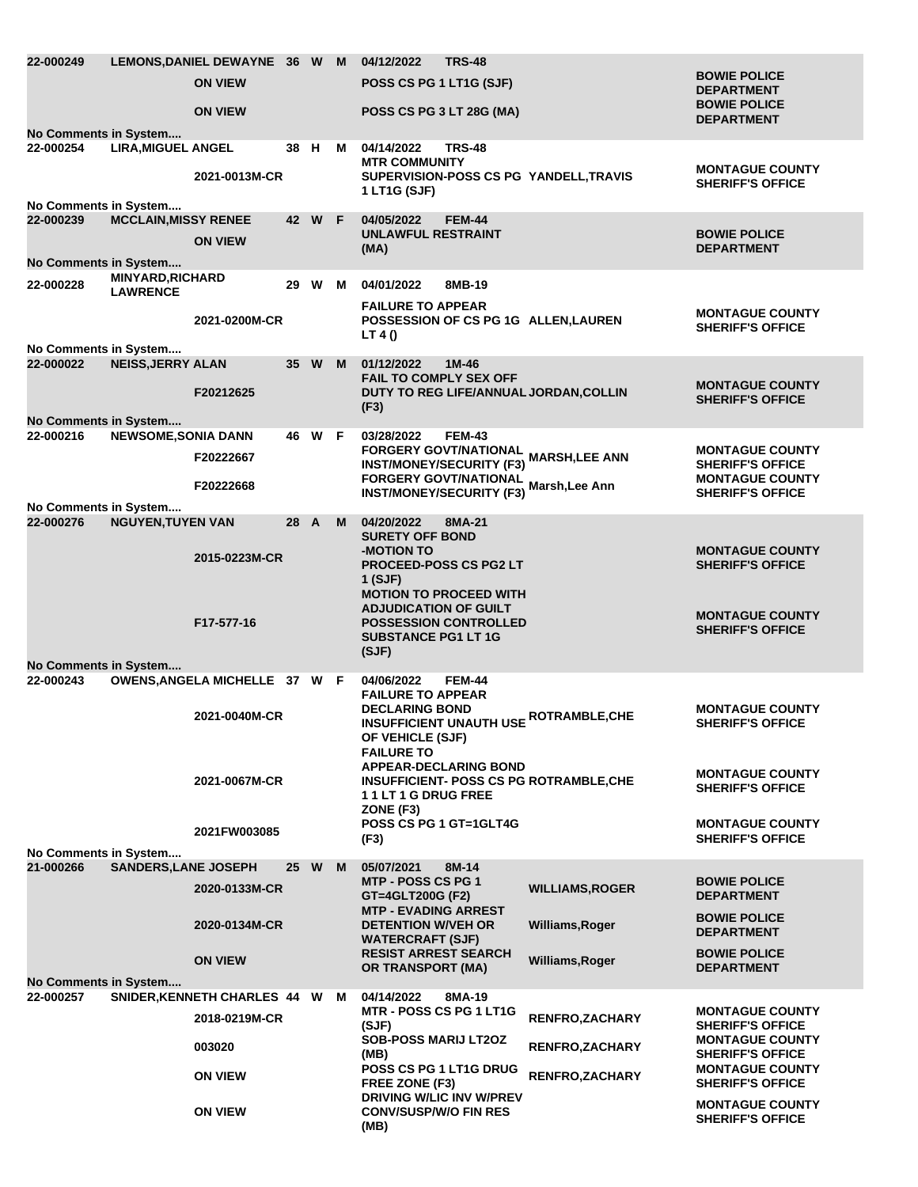| 22-000249                          |                             | LEMONS, DANIEL DEWAYNE 36 W M<br><b>ON VIEW</b> |      |        |   | 04/12/2022<br>POSS CS PG 1 LT1G (SJF)                                               | TRS-48                                                         |                                                                  | <b>BOWIE POLICE</b><br><b>DEPARTMENT</b>                                    |  |
|------------------------------------|-----------------------------|-------------------------------------------------|------|--------|---|-------------------------------------------------------------------------------------|----------------------------------------------------------------|------------------------------------------------------------------|-----------------------------------------------------------------------------|--|
|                                    |                             | <b>ON VIEW</b>                                  |      |        |   | POSS CS PG 3 LT 28G (MA)                                                            |                                                                |                                                                  | <b>BOWIE POLICE</b><br><b>DEPARTMENT</b>                                    |  |
| No Comments in System<br>22-000254 | <b>LIRA, MIGUEL ANGEL</b>   |                                                 | 38 H |        | M | 04/14/2022                                                                          | <b>TRS-48</b>                                                  |                                                                  |                                                                             |  |
|                                    |                             | 2021-0013M-CR                                   |      |        |   | <b>MTR COMMUNITY</b><br>1 LT1G (SJF)                                                |                                                                | SUPERVISION-POSS CS PG YANDELL, TRAVIS                           | <b>MONTAGUE COUNTY</b><br><b>SHERIFF'S OFFICE</b>                           |  |
| No Comments in System<br>22-000239 | <b>MCCLAIN, MISSY RENEE</b> |                                                 |      | 42 W F |   | 04/05/2022                                                                          | <b>FEM-44</b>                                                  |                                                                  |                                                                             |  |
| No Comments in System              |                             | <b>ON VIEW</b>                                  |      |        |   | <b>UNLAWFUL RESTRAINT</b><br>(MA)                                                   |                                                                |                                                                  | <b>BOWIE POLICE</b><br><b>DEPARTMENT</b>                                    |  |
| 22-000228                          | MINYARD, RICHARD            |                                                 |      | 29 W M |   | 04/01/2022                                                                          | 8MB-19                                                         |                                                                  |                                                                             |  |
|                                    | <b>LAWRENCE</b>             | 2021-0200M-CR                                   |      |        |   | <b>FAILURE TO APPEAR</b><br>LT 4 $()$                                               |                                                                | POSSESSION OF CS PG 1G ALLEN, LAUREN                             | <b>MONTAGUE COUNTY</b><br><b>SHERIFF'S OFFICE</b>                           |  |
| No Comments in System<br>22-000022 | <b>NEISS, JERRY ALAN</b>    |                                                 |      | 35 W   | M | 01/12/2022                                                                          | $1M-46$                                                        |                                                                  |                                                                             |  |
|                                    |                             | F20212625                                       |      |        |   | <b>FAIL TO COMPLY SEX OFF</b><br>(F3)                                               |                                                                | DUTY TO REG LIFE/ANNUAL JORDAN, COLLIN                           | <b>MONTAGUE COUNTY</b><br><b>SHERIFF'S OFFICE</b>                           |  |
| No Comments in System<br>22-000216 | <b>NEWSOME, SONIA DANN</b>  |                                                 |      | 46 W F |   | 03/28/2022                                                                          | <b>FEM-43</b>                                                  |                                                                  |                                                                             |  |
|                                    |                             | F20222667                                       |      |        |   |                                                                                     | <b>INST/MONEY/SECURITY (F3)</b>                                | FORGERY GOVT/NATIONAL MARSH,LEE ANN                              | <b>MONTAGUE COUNTY</b><br><b>SHERIFF'S OFFICE</b><br><b>MONTAGUE COUNTY</b> |  |
|                                    |                             | F20222668                                       |      |        |   |                                                                                     |                                                                | FORGERY GOVT/NATIONAL<br>INST/MONEY/SECURITY (F3) Marsh, Lee Ann | <b>SHERIFF'S OFFICE</b>                                                     |  |
| No Comments in System<br>22-000276 | <b>NGUYEN, TUYEN VAN</b>    |                                                 | 28 A |        | M | 04/20/2022<br><b>SURETY OFF BOND</b>                                                | 8MA-21                                                         |                                                                  |                                                                             |  |
|                                    |                             | 2015-0223M-CR                                   |      |        |   | <b>-MOTION TO</b><br>1 (SJF)<br><b>ADJUDICATION OF GUILT</b>                        | <b>PROCEED-POSS CS PG2 LT</b><br><b>MOTION TO PROCEED WITH</b> |                                                                  | <b>MONTAGUE COUNTY</b><br><b>SHERIFF'S OFFICE</b>                           |  |
| No Comments in System              |                             | F17-577-16                                      |      |        |   | <b>SUBSTANCE PG1 LT 1G</b><br>(SJF)                                                 | <b>POSSESSION CONTROLLED</b>                                   |                                                                  | <b>MONTAGUE COUNTY</b><br><b>SHERIFF'S OFFICE</b>                           |  |
| 22-000243                          |                             | OWENS, ANGELA MICHELLE 37 W F                   |      |        |   | 04/06/2022<br><b>FAILURE TO APPEAR</b>                                              | <b>FEM-44</b>                                                  |                                                                  |                                                                             |  |
|                                    |                             | 2021-0040M-CR                                   |      |        |   | <b>DECLARING BOND</b><br>OF VEHICLE (SJF)<br><b>FAILURE TO</b>                      |                                                                | <b>INSUFFICIENT UNAUTH USE ROTRAMBLE, CHE</b>                    | <b>MONTAGUE COUNTY</b><br><b>SHERIFF'S OFFICE</b>                           |  |
|                                    |                             | 2021-0067M-CR                                   |      |        |   | 11LT1GDRUGFREE<br>ZONE (F3)                                                         | <b>APPEAR-DECLARING BOND</b>                                   | <b>INSUFFICIENT- POSS CS PG ROTRAMBLE, CHE</b>                   | <b>MONTAGUE COUNTY</b><br><b>SHERIFF'S OFFICE</b>                           |  |
|                                    |                             | 2021FW003085                                    |      |        |   | <b>POSS CS PG 1 GT=1GLT4G</b><br>(F3)                                               |                                                                |                                                                  | <b>MONTAGUE COUNTY</b><br><b>SHERIFF'S OFFICE</b>                           |  |
| No Comments in System              |                             |                                                 |      |        |   |                                                                                     |                                                                |                                                                  |                                                                             |  |
| 21-000266                          | <b>SANDERS, LANE JOSEPH</b> | 2020-0133M-CR                                   |      | 25 W   | M | 05/07/2021<br><b>MTP - POSS CS PG 1</b><br>GT=4GLT200G (F2)                         | 8M-14                                                          | <b>WILLIAMS, ROGER</b>                                           | <b>BOWIE POLICE</b><br><b>DEPARTMENT</b>                                    |  |
|                                    |                             | 2020-0134M-CR                                   |      |        |   | <b>MTP - EVADING ARREST</b><br><b>DETENTION W/VEH OR</b><br><b>WATERCRAFT (SJF)</b> |                                                                | Williams, Roger                                                  | <b>BOWIE POLICE</b><br><b>DEPARTMENT</b>                                    |  |
| <b>No Comments in System</b>       |                             | <b>ON VIEW</b>                                  |      |        |   | <b>RESIST ARREST SEARCH</b><br><b>OR TRANSPORT (MA)</b>                             |                                                                | Williams, Roger                                                  | <b>BOWIE POLICE</b><br><b>DEPARTMENT</b>                                    |  |
| 22-000257                          |                             | SNIDER, KENNETH CHARLES 44 W M                  |      |        |   | 04/14/2022                                                                          | 8MA-19                                                         |                                                                  |                                                                             |  |
|                                    |                             | 2018-0219M-CR                                   |      |        |   | MTR - POSS CS PG 1 LT1G<br>(SJF)                                                    |                                                                | RENFRO, ZACHARY                                                  | <b>MONTAGUE COUNTY</b><br><b>SHERIFF'S OFFICE</b>                           |  |
|                                    |                             | 003020                                          |      |        |   | <b>SOB-POSS MARIJ LT2OZ</b><br>(MB)<br><b>POSS CS PG 1 LT1G DRUG</b>                |                                                                | <b>RENFRO, ZACHARY</b>                                           | <b>MONTAGUE COUNTY</b><br><b>SHERIFF'S OFFICE</b><br><b>MONTAGUE COUNTY</b> |  |
|                                    |                             | <b>ON VIEW</b>                                  |      |        |   | FREE ZONE (F3)                                                                      |                                                                | RENFRO, ZACHARY                                                  | <b>SHERIFF'S OFFICE</b>                                                     |  |
|                                    |                             | <b>ON VIEW</b>                                  |      |        |   | <b>CONV/SUSP/W/O FIN RES</b><br>(MB)                                                | <b>DRIVING W/LIC INV W/PREV</b>                                |                                                                  | <b>MONTAGUE COUNTY</b><br><b>SHERIFF'S OFFICE</b>                           |  |